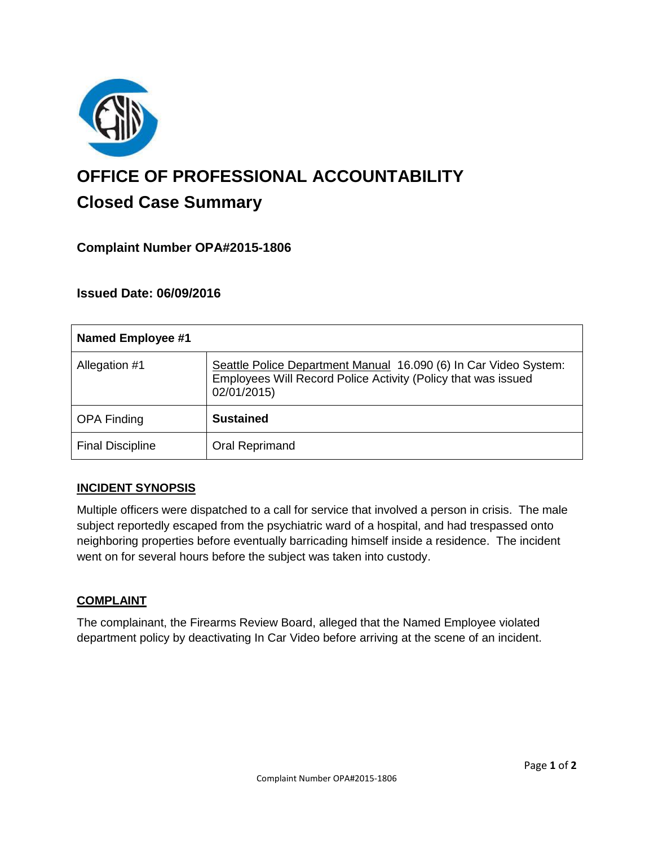

# **OFFICE OF PROFESSIONAL ACCOUNTABILITY Closed Case Summary**

## **Complaint Number OPA#2015-1806**

## **Issued Date: 06/09/2016**

| Named Employee #1       |                                                                                                                                                  |
|-------------------------|--------------------------------------------------------------------------------------------------------------------------------------------------|
| Allegation #1           | Seattle Police Department Manual 16.090 (6) In Car Video System:<br>Employees Will Record Police Activity (Policy that was issued<br>02/01/2015) |
| <b>OPA Finding</b>      | <b>Sustained</b>                                                                                                                                 |
| <b>Final Discipline</b> | Oral Reprimand                                                                                                                                   |

## **INCIDENT SYNOPSIS**

Multiple officers were dispatched to a call for service that involved a person in crisis. The male subject reportedly escaped from the psychiatric ward of a hospital, and had trespassed onto neighboring properties before eventually barricading himself inside a residence. The incident went on for several hours before the subject was taken into custody.

#### **COMPLAINT**

The complainant, the Firearms Review Board, alleged that the Named Employee violated department policy by deactivating In Car Video before arriving at the scene of an incident.